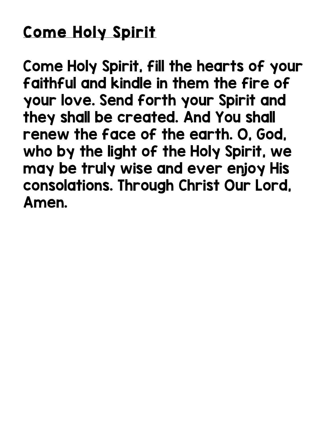## Come Holy Spirit

Come Holy Spirit, fill the hearts of your faithful and kindle in them the fire of your love. Send forth your Spirit and they shall be created. And You shall renew the face of the earth. O, God, who by the light of the Holy Spirit, we may be truly wise and ever enjoy His consolations. Through Christ Our Lord, Amen.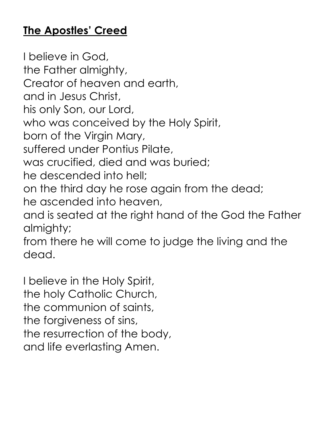## **The Apostles' Creed**

I believe in God, the Father almighty, Creator of heaven and earth, and in Jesus Christ, his only Son, our Lord, who was conceived by the Holy Spirit, born of the Virgin Mary, suffered under Pontius Pilate, was crucified, died and was buried; he descended into hell; on the third day he rose again from the dead; he ascended into heaven, and is seated at the right hand of the God the Father almighty; from there he will come to judge the living and the dead.

I believe in the Holy Spirit, the holy Catholic Church, the communion of saints, the forgiveness of sins, the resurrection of the body, and life everlasting Amen.